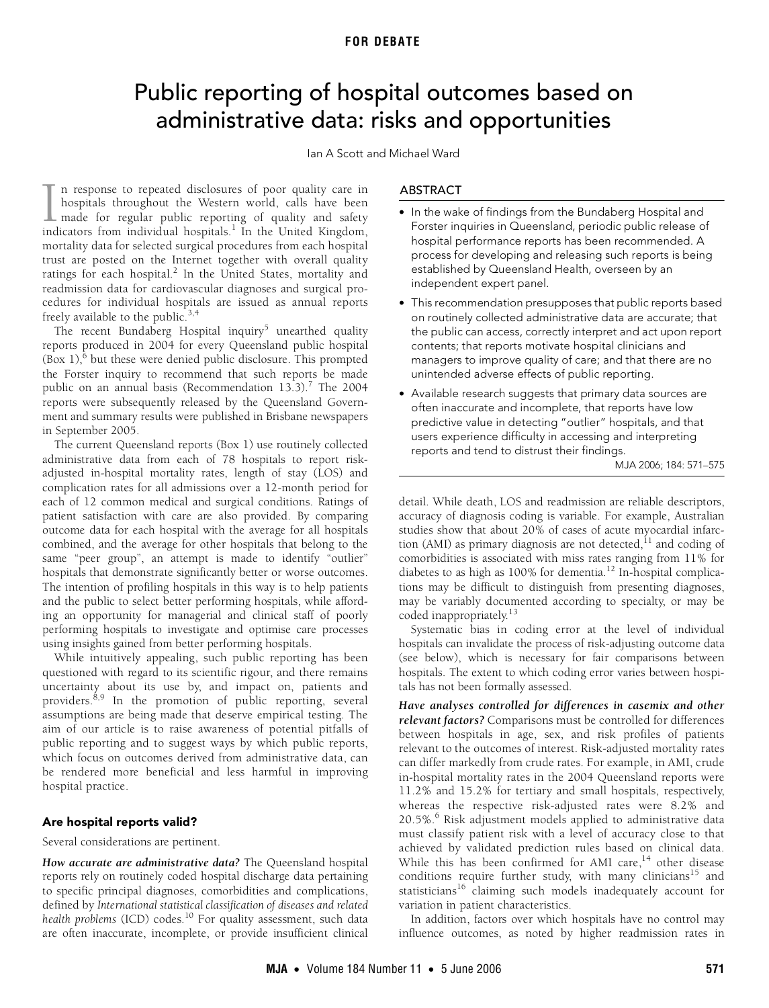# <span id="page-0-0"></span>Public reporting of hospital outcomes based on administrative data: risks and opportunities

Ian A Scott and Michael Ward

n response to repeated disclosures of poor quality care in hospitals throughout the Western world, calls have been made for regular public reporting of quality and safety indicators from individual hospitals. $^1$  $^1$  In the United Kingdom, mortality data for selected surgical procedures from each hospital trust are posted on the Internet together with overall quality ratings for each hospital.<sup>[2](#page-4-0)</sup> In the United States, mortality and readmission data for cardiovascular diagnoses and surgical procedures for individual hospitals are issued as annual reports freely available to the public.<sup>[3,](#page-4-1)[4](#page-4-2)</sup>  $\prod_{\text{ind}}$ 

The recent Bundaberg Hospital inquiry<sup>[5](#page-4-16)</sup> unearthed quality reports produced in 2004 for every Queensland public hospital  $(Box 1)$ <sup>[6](#page-4-3)</sup> but these were denied public disclosure. This prompted the Forster inquiry to recommend that such reports be made public on an annual basis (Recommendation 13.3).<sup>[7](#page-4-4)</sup> The 2004 reports were subsequently released by the Queensland Government and summary results were published in Brisbane newspapers in September 2005.

augusted in norphal increasing rates, rengin or easy (2005) and<br>complication rates for all admissi[ons o](#page-4-14)ver a 12-month period for each of 12 common medical and surgical conditions. Ratings of  $\frac{1}{2}$ Common medical and surgical condition patient satisfaction with care are also provided. By comparing outcome data for each hospital with the average for all hospitals The current Queensland reports (Box 1) use routinely collected administrative data from each of 78 hospitals to report riskadjusted in-hospital mortality rates, length of stay (LOS) and combined, and the average for other hospitals that belong to the same "peer group", an attempt is made to identify "outlier" hospitals that demonstrate significantly better or worse outcomes. The intention of profiling hospitals in this way is to help patients and the public to select better performing hospitals, while affording an opportunity for managerial and clinical staff of poorly performing hospitals to investigate and optimise care processes using insights gained from better performing hospitals.

While intuitively appealing, such public reporting has been questioned with regard to its scientific rigour, and there remains uncertainty about its use by, and impact on, patients and providers.<sup>[8,](#page-4-5)9</sup> In the promotion of public reporting, several assumptions are being made that deserve empirical testing. The aim of our article is to raise awareness of potential pitfalls of public reporting and to suggest ways by which public reports, which focus on outcomes derived from administrative data, can be rendered more beneficial and less harmful in improving hospital practice.

## **Are hospital reports valid?**

Several considerations are pertinent.

*How accurate are administrative data?* The Queensland hospital reports rely on routinely coded hospital discharge data pertaining to specific principal diagnoses, comorbidities and complications, defined by *International statistical classification of diseases and related health problems* (ICD) codes.<sup>10</sup> For quality assessment, such data are often inaccurate, incomplete, or provide insufficient clinical

## ABSTRACT

- **•** In the wake of findings from the Bundaberg Hospital and Forster inquiries in Queensland, periodic public release of hospital performance reports has been recommended. A process for developing and releasing such reports is being established by Queensland Health, overseen by an independent expert panel.
- **•** This recommendation presupposes that public reports based on routinely collected administrative data are accurate; that the public can access, correctly interpret and act upon report contents; that reports motivate hospital clinicians and managers to improve quality of care; and that there are no unintended adverse effects of public reporting.
- **•** Available research suggests that primary data sources are often inaccurate and incomplete, that reports have low predictive value in detecting "outlier" hospitals, and that users experience difficulty in accessing and interpreting reports and tend to distrust their findings.

MJA 2006; 184: 571–575

detail. While death, LOS and readmission are reliable descriptors, accuracy of diagnosis coding is variable. For example, Australian studies show that about 20% of cases of acute myocardial infarction (AMI) as primary diagnosis are not detected, $11$  and coding of comorbidities is associated with miss rates ranging from 11% for diabetes to as high as  $100\%$  for dementia.<sup>12</sup> In-hospital complications may be difficult to distinguish from presenting diagnoses, may be variably documented according to specialty, or may be coded inappropriately.[13](#page-4-10)

Systematic bias in coding error at the level of individual hospitals can invalidate the process of risk-adjusting outcome data (see below), which is necessary for fair comparisons between hospitals. The extent to which coding error varies between hospitals has not been formally assessed.

*Have analyses controlled for differences in casemix and other relevant factors?* Comparisons must be controlled for differences between hospitals in age, sex, and risk profiles of patients relevant to the outcomes of interest. Risk-adjusted mortality rates can differ markedly from crude rates. For example, in AMI, crude in-hospital mortality rates in the 2004 Queensland reports were 11.2% and 15.2% for tertiary and small hospitals, respectively, whereas the respective risk-adjusted rates were 8.2% and 20.5%.<sup>[6](#page-4-3)</sup> Risk adjustment models applied to administrative data must classify patient risk with a level of accuracy close to that achieved by validated prediction rules based on clinical data. While this has been confirmed for AMI care, $14$  other disease conditions require further study, with many clinicians<sup>[15](#page-4-12)</sup> and statisticians<sup>16</sup> claiming such models inadequately account for variation in patient characteristics.

In addition, factors over which hospitals have no control may influence outcomes, as noted by higher readmission rates in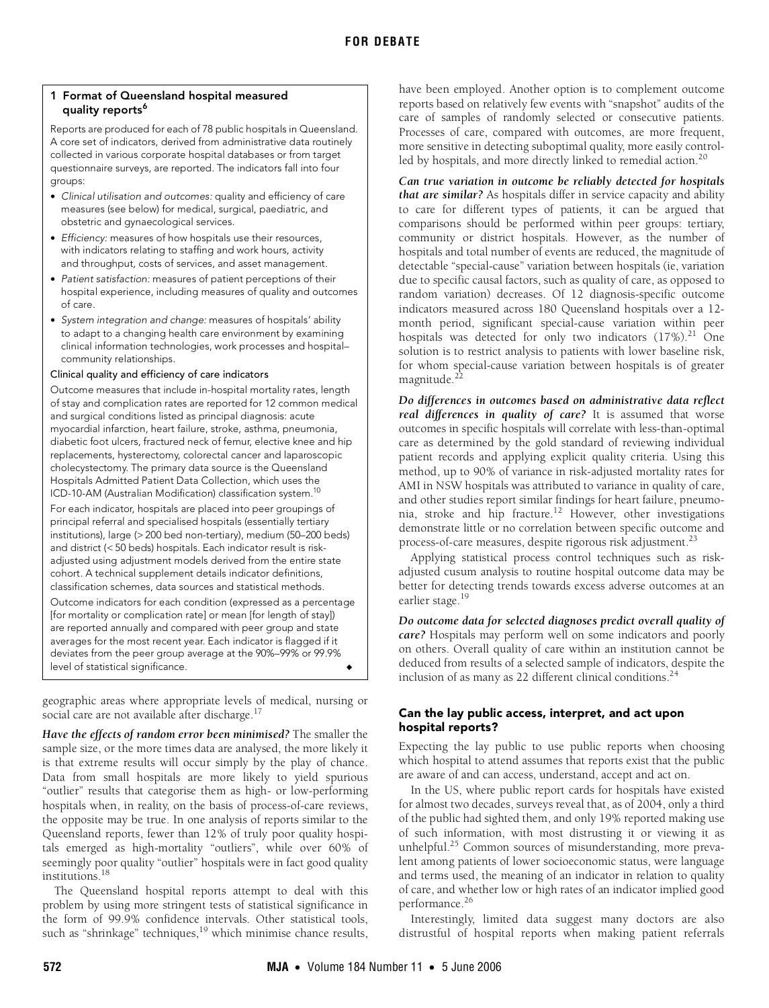## **1 Format of Queensland hospital measured quality reports[6](#page-4-3)**

Reports are produced for each of 78 public hospitals in Queensland. A core set of indicators, derived from administrative data routinely collected in various corporate hospital databases or from target questionnaire surveys, are reported. The indicators fall into four groups:

- **•** Clinical utilisation and outcomes: quality and efficiency of care measures (see below) for medical, surgical, paediatric, and obstetric and gynaecological services.
- **•** Efficiency: measures of how hospitals use their resources, with indicators relating to staffing and work hours, activity and throughput, costs of services, and asset management.
- **•** Patient satisfaction: measures of patient perceptions of their hospital experience, including measures of quality and outcomes of care.
- **•** System integration and change: measures of hospitals' ability to adapt to a changing health care environment by examining clinical information technologies, work processes and hospital– community relationships.

## Clinical quality and efficiency of care indicators

Outcome measures that include in-hospital mortality rates, length of stay and complication rates are reported for 12 common medical and surgical conditions listed as principal diagnosis: acute myocardial infarction, heart failure, stroke, asthma, pneumonia, diabetic foot ulcers, fractured neck of femur, elective knee and hip replacements, hysterectomy, colorectal cancer and laparoscopic cholecystectomy. The primary data source is the Queensland Hospitals Admitted Patient Data Collection, which uses the ICD-10-AM (Australian Modification) classification system.<sup>10</sup>

For each indicator, hospitals are placed into peer groupings of principal referral and specialised hospitals (essentially tertiary institutions), large (> 200 bed non-tertiary), medium (50–200 beds) and district (< 50 beds) hospitals. Each indicator result is riskadjusted using adjustment models derived from the entire state cohort. A technical supplement details indicator definitions, classification schemes, data sources and statistical methods.

Outcome indicators for each condition (expressed as a percentage [for mortality or complication rate] or mean [for length of stay]) are reported annually and compared with peer group and state averages for the most recent year. Each indicator is flagged if it deviates from the peer group average at the 90%–99% or 99.9% level of statistical significance.

geographic areas where appropriate levels of medical, nursing or social care are not available after discharge. $17$ 

*Have the effects of random error been minimised?* The smaller the sample size, or the more times data are analysed, the more likely it is that extreme results will occur simply by the play of chance. Data from small hospitals are more likely to yield spurious "outlier" results that categorise them as high- or low-performing hospitals when, in reality, on the basis of process-of-care reviews, the opposite may be true. In one analysis of reports similar to the Queensland reports, fewer than 12% of truly poor quality hospitals emerged as high-mortality "outliers", while over 60% of seemingly poor quality "outlier" hospitals were in fact good quality institutions[.18](#page-4-19)

The Queensland hospital reports attempt to deal with this problem by using more stringent tests of statistical significance in the form of 99.9% confidence intervals. Other statistical tools, such as "shrinkage" techniques,<sup>19</sup> which minimise chance results,

have been employed. Another option is to complement outcome reports based on relatively few events with "snapshot" audits of the care of samples of randomly selected or consecutive patients. Processes of care, compared with outcomes, are more frequent, more sensitive in detecting suboptimal quality, more easily control-led by hospitals, and more directly linked to remedial action.<sup>[20](#page-4-21)</sup>

*Can true variation in outcome be reliably detected for hospitals that are similar?* As hospitals differ in service capacity and ability to care for different types of patients, it can be argued that comparisons should be performed within peer groups: tertiary, community or district hospitals. However, as the number of hospitals and total number of events are reduced, the magnitude of detectable "special-cause" variation between hospitals (ie, variation due to specific causal factors, such as quality of care, as opposed to random variation) decreases. Of 12 diagnosis-specific outcome indicators measured across 180 Queensland hospitals over a 12 month period, significant special-cause variation within peer hospitals was detected for only two indicators  $(17\%)$ .<sup>[21](#page-4-17)</sup> One solution is to restrict analysis to patients with lower baseline risk, for whom special-cause variation between hospitals is of greater magnitude.<sup>[22](#page-4-22)</sup>

*Do differences in outcomes based on administrative data reflect real differences in quality of care?* It is assumed that worse outcomes in specific hospitals will correlate with less-than-optimal care as determined by the gold standard of reviewing individual patient records and applying explicit quality criteria. Using this method, up to 90% of variance in risk-adjusted mortality rates for AMI in NSW hospitals was attributed to variance in quality of care, and other studies report similar findings for heart failure, pneumonia, stroke and hip fracture[.12](#page-4-9) However, other investigations demonstrate little or no correlation between specific outcome and process-of-care measures, despite rigorous risk adjustment.<sup>23</sup>

Applying statistical process control techniques such as riskadjusted cusum analysis to routine hospital outcome data may be better for detecting trends towards excess adverse outcomes at an earlier stage.<sup>19</sup>

*Do outcome data for selected diagnoses predict overall quality of care?* Hospitals may perform well on some indicators and poorly on others. Overall quality of care within an institution cannot be deduced from results of a selected sample of indicators, despite the inclusion of as many as 22 different clinical conditions. $24$ 

# **Can the lay public access, interpret, and act upon hospital reports?**

Expecting the lay public to use public reports when choosing which hospital to attend assumes that reports exist that the public are aware of and can access, understand, accept and act on.

In the US, where public report cards for hospitals have existed for almost two decades, surveys reveal that, as of 2004, only a third of the public had sighted them, and only 19% reported making use of such information, with most distrusting it or viewing it as unhelpful.<sup>25</sup> Common sources of misunderstanding, more prevalent among patients of lower socioeconomic status, were language and terms used, the meaning of an indicator in relation to quality of care, and whether low or high rates of an indicator implied good performance.[26](#page-4-26)

Interestingly, limited data suggest many doctors are also distrustful of hospital reports when making patient referrals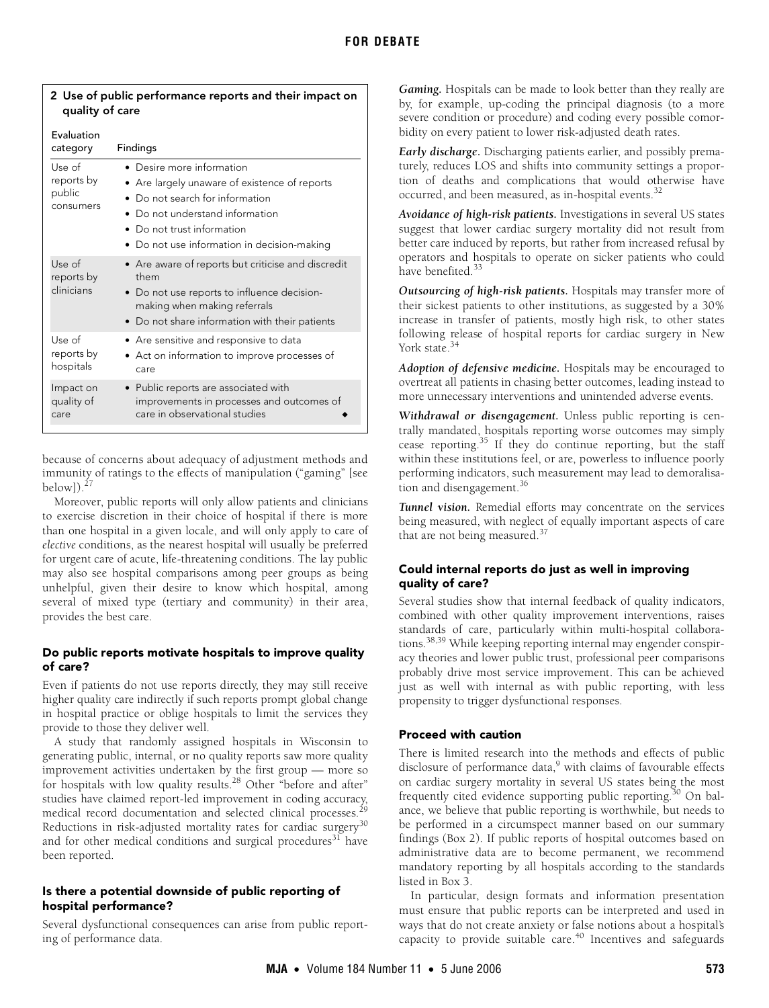| quality of care                             |                                                                                                                                                                                                                   |
|---------------------------------------------|-------------------------------------------------------------------------------------------------------------------------------------------------------------------------------------------------------------------|
| <b>Fvaluation</b><br>category               | Findings                                                                                                                                                                                                          |
| Use of<br>reports by<br>public<br>consumers | Desire more information<br>Are largely unaware of existence of reports<br>Do not search for information<br>Do not understand information<br>Do not trust information<br>Do not use information in decision-making |
| Use of<br>reports by<br>clinicians          | • Are aware of reports but criticise and discredit<br>them<br>Do not use reports to influence decision-<br>making when making referrals<br>• Do not share information with their patients                         |
| Use of<br>reports by<br>hospitals           | $\bullet$ Are sensitive and responsive to data<br>Act on information to improve processes of<br>care                                                                                                              |
| Impact on<br>quality of<br>care             | • Public reports are associated with<br>improvements in processes and outcomes of<br>care in observational studies                                                                                                |

## **2 Use of public performance reports and their impact on quality of care**

because of concerns about adequacy of adjustment methods and immunity of ratings to the effects of manipulation ("gaming" [see below $]$ ).<sup>27</sup>

Moreover, public reports will only allow patients and clinicians to exercise discretion in their choice of hospital if there is more than one hospital in a given locale, and will only apply to care of *elective* conditions, as the nearest hospital will usually be preferred for urgent care of acute, life-threatening conditions. The lay public may also see hospital comparisons among peer groups as being unhelpful, given their desire to know which hospital, among several of mixed type (tertiary and community) in their area, provides the best care.

# **Do public reports motivate hospitals to improve quality of care?**

Even if patients do not use reports directly, they may still receive higher quality care indirectly if such reports prompt global change in hospital practice or oblige hospitals to limit the services they provide to those they deliver well.

A study that randomly assigned hospitals in Wisconsin to generating public, internal, or no quality reports saw more quality improvement activities undertaken by the first group — more so for hospitals with low quality results.[28](#page-4-28) Other "before and after" studies have claimed report-led improvement in coding accuracy, medical record documentation and selected clinical processes.<sup>2</sup> Reductions in risk-adjusted mortality rates for cardiac surgery<sup>[30](#page-4-30)</sup> and for other medical conditions and surgical procedures $31$  have been reported.

# **Is there a potential downside of public reporting of hospital performance?**

Several dysfunctional consequences can arise from public reporting of performance data.

*Gaming.* Hospitals can be made to look better than they really are by, for example, up-coding the principal diagnosis (to a more severe condition or procedure) and coding every possible comorbidity on every patient to lower risk-adjusted death rates.

*Early discharge.* Discharging patients earlier, and possibly prematurely, reduces LOS and shifts into community settings a proportion of deaths and complications that would otherwise have occurred, and been measured, as in-hospital events.<sup>[32](#page-4-32)</sup>

*Avoidance of high-risk patients.* Investigations in several US states suggest that lower cardiac surgery mortality did not result from better care induced by reports, but rather from increased refusal by operators and hospitals to operate on sicker patients who could have benefited.<sup>[33](#page-4-33)</sup>

*Outsourcing of high-risk patients.* Hospitals may transfer more of their sickest patients to other institutions, as suggested by a 30% increase in transfer of patients, mostly high risk, to other states following release of hospital reports for cardiac surgery in New York state.<sup>34</sup>

*Adoption of defensive medicine.* Hospitals may be encouraged to overtreat all patients in chasing better outcomes, leading instead to more unnecessary interventions and unintended adverse events.

*Withdrawal or disengagement.* Unless public reporting is centrally mandated, hospitals reporting worse outcomes may simply cease reporting[.35](#page-4-35) If they do continue reporting, but the staff within these institutions feel, or are, powerless to influence poorly performing indicators, such measurement may lead to demoralisation and disengagement.<sup>36</sup>

*Tunnel vision.* Remedial efforts may concentrate on the services being measured, with neglect of equally important aspects of care that are not being measured.<sup>[37](#page-4-37)</sup>

## **Could internal reports do just as well in improving quality of care?**

Several studies show that internal feedback of quality indicators, combined with other quality improvement interventions, raises standards of care, particularly within multi-hospital collaborations[.38,](#page-4-38)[39](#page-4-39) While keeping reporting internal may engender conspiracy theories and lower public trust, professional peer comparisons probably drive most service improvement. This can be achieved just as well with internal as with public reporting, with less propensity to trigger dysfunctional responses.

# **Proceed with caution**

There is limited research into the methods and effects of public disclosure of performance data,<sup>9</sup> with claims of favourable effects on cardiac surgery mortality in several US states being the most frequently cited evidence supporting public reporting.<sup>30</sup> On balance, we believe that public reporting is worthwhile, but needs to be performed in a circumspect manner based on our summary findings (Box 2). If public reports of hospital outcomes based on administrative data are to become permanent, we recommend mandatory reporting by all hospitals according to the standards listed in Box 3.

In particular, design formats and information presentation must ensure that public reports can be interpreted and used in ways that do not create anxiety or false notions about a hospital's capacity to provide suitable care.[40](#page-4-14) Incentives and safeguards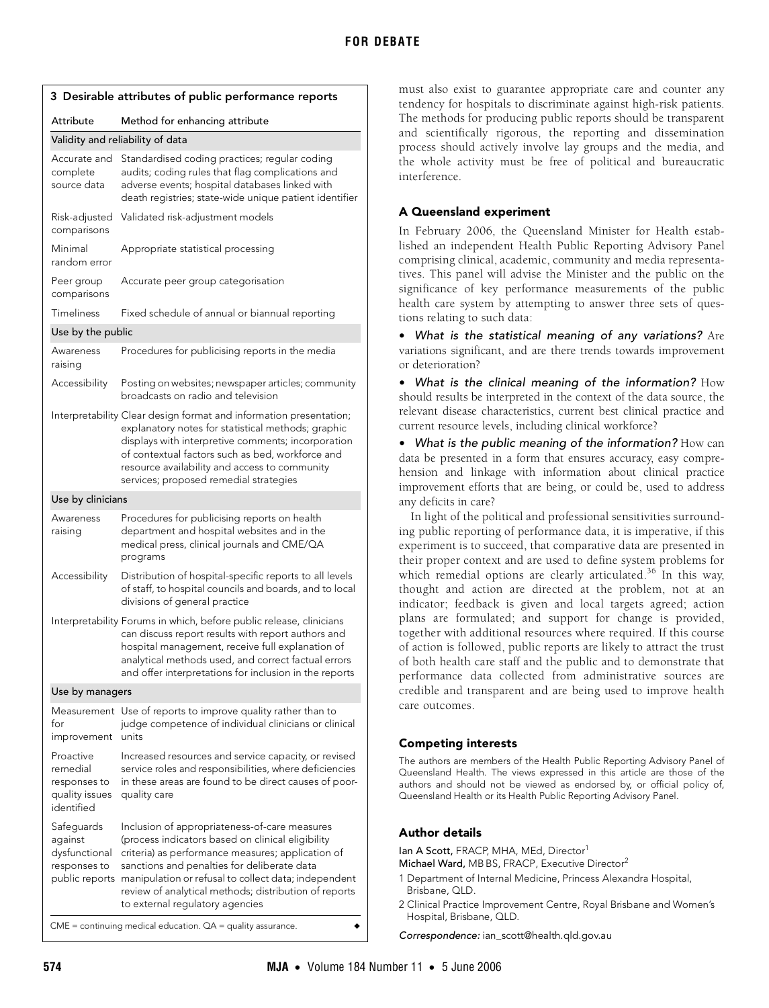| 3 Desirable attributes of public performance reports                  |                                                                                                                                                                                                                                                                                                                                                                           |  |
|-----------------------------------------------------------------------|---------------------------------------------------------------------------------------------------------------------------------------------------------------------------------------------------------------------------------------------------------------------------------------------------------------------------------------------------------------------------|--|
| Attribute                                                             | Method for enhancing attribute                                                                                                                                                                                                                                                                                                                                            |  |
| Validity and reliability of data                                      |                                                                                                                                                                                                                                                                                                                                                                           |  |
| Accurate and<br>complete<br>source data                               | Standardised coding practices; regular coding<br>audits; coding rules that flag complications and<br>adverse events; hospital databases linked with<br>death registries; state-wide unique patient identifier                                                                                                                                                             |  |
| Risk-adjusted<br>comparisons                                          | Validated risk-adjustment models                                                                                                                                                                                                                                                                                                                                          |  |
| Minimal<br>random error                                               | Appropriate statistical processing                                                                                                                                                                                                                                                                                                                                        |  |
| Peer group<br>comparisons                                             | Accurate peer group categorisation                                                                                                                                                                                                                                                                                                                                        |  |
| Timeliness                                                            | Fixed schedule of annual or biannual reporting                                                                                                                                                                                                                                                                                                                            |  |
| Use by the public                                                     |                                                                                                                                                                                                                                                                                                                                                                           |  |
| Awareness<br>raising                                                  | Procedures for publicising reports in the media                                                                                                                                                                                                                                                                                                                           |  |
| Accessibility                                                         | Posting on websites; newspaper articles; community<br>broadcasts on radio and television                                                                                                                                                                                                                                                                                  |  |
|                                                                       | Interpretability Clear design format and information presentation;<br>explanatory notes for statistical methods; graphic<br>displays with interpretive comments; incorporation<br>of contextual factors such as bed, workforce and<br>resource availability and access to community<br>services; proposed remedial strategies                                             |  |
| Use by clinicians                                                     |                                                                                                                                                                                                                                                                                                                                                                           |  |
| Awareness<br>raising                                                  | Procedures for publicising reports on health<br>department and hospital websites and in the<br>medical press, clinical journals and CME/QA<br>programs                                                                                                                                                                                                                    |  |
| Accessibility                                                         | Distribution of hospital-specific reports to all levels<br>of staff, to hospital councils and boards, and to local<br>divisions of general practice                                                                                                                                                                                                                       |  |
|                                                                       | Interpretability Forums in which, before public release, clinicians<br>can discuss report results with report authors and<br>hospital management, receive full explanation of<br>analytical methods used, and correct factual errors<br>and offer interpretations for inclusion in the reports                                                                            |  |
| Use by managers                                                       |                                                                                                                                                                                                                                                                                                                                                                           |  |
| for<br>improvement                                                    | Measurement Use of reports to improve quality rather than to<br>judge competence of individual clinicians or clinical<br>units                                                                                                                                                                                                                                            |  |
| Proactive<br>remedial<br>responses to<br>quality issues<br>identified | Increased resources and service capacity, or revised<br>service roles and responsibilities, where deficiencies<br>in these areas are found to be direct causes of poor-<br>quality care                                                                                                                                                                                   |  |
| Safeguards<br>against<br>dysfunctional<br>responses to                | Inclusion of appropriateness-of-care measures<br>(process indicators based on clinical eligibility<br>criteria) as performance measures; application of<br>sanctions and penalties for deliberate data<br>public reports manipulation or refusal to collect data; independent<br>review of analytical methods; distribution of reports<br>to external regulatory agencies |  |
| $CME =$ continuing medical education. $QA =$ quality assurance.       |                                                                                                                                                                                                                                                                                                                                                                           |  |

must also exist to guarantee appropriate care and counter any tendency for hospitals to discriminate against high-risk patients. The methods for producing public reports should be transparent and scientifically rigorous, the reporting and dissemination process should actively involve lay groups and the media, and the whole activity must be free of political and bureaucratic interference.

## **A Queensland experiment**

In February 2006, the Queensland Minister for Health established an independent Health Public Reporting Advisory Panel comprising clinical, academic, community and media representatives. This panel will advise the Minister and the public on the significance of key performance measurements of the public health care system by attempting to answer three sets of questions relating to such data:

**•** What is the statistical meaning of any variations? Are variations significant, and are there trends towards improvement or deterioration?

**•** What is the clinical meaning of the information? How should results be interpreted in the context of the data source, the relevant disease characteristics, current best clinical practice and current resource levels, including clinical workforce?

**•** What is the public meaning of the information? How can data be presented in a form that ensures accuracy, easy comprehension and linkage with information about clinical practice improvement efforts that are being, or could be, used to address any deficits in care?

In light of the political and professional sensitivities surrounding public reporting of performance data, it is imperative, if this experiment is to succeed, that comparative data are presented in their proper context and are used to define system problems for which remedial options are clearly articulated.<sup>36</sup> In this way, thought and action are directed at the problem, not at an indicator; feedback is given and local targets agreed; action plans are formulated; and support for change is provided, together with additional resources where required. If this course of action is followed, public reports are likely to attract the trust of both health care staff and the public and to demonstrate that performance data collected from administrative sources are credible and transparent and are being used to improve health care outcomes.

## **Competing interests**

The authors are members of the Health Public Reporting Advisory Panel of Queensland Health. The views expressed in this article are those of the authors and should not be viewed as endorsed by, or official policy of, Queensland Health or its Health Public Reporting Advisory Panel.

## **Author details**

Ian A Scott, FRACP, MHA, MEd, Director<sup>1</sup>

Michael Ward, MB BS, FRACP, Executive Director<sup>2</sup>

- 1 Department of Internal Medicine, Princess Alexandra Hospital, Brisbane, QLD.
- 2 Clinical Practice Improvement Centre, Royal Brisbane and Women's Hospital, Brisbane, QLD.

Correspondence: ian\_scott@health.qld.gov.au